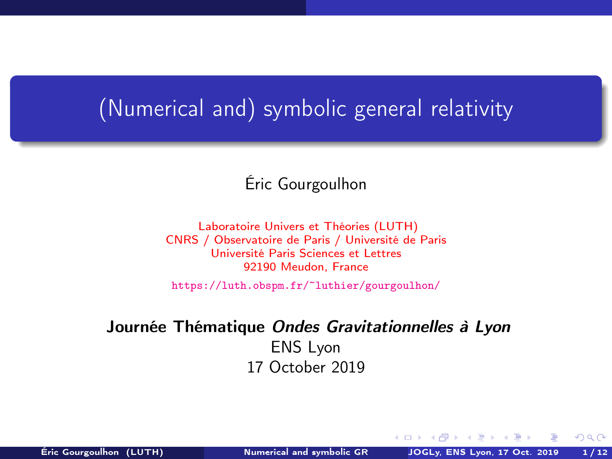### <span id="page-0-0"></span>(Numerical and) symbolic general relativity

### Éric Gourgoulhon

[Laboratoire Univers et Théories \(LUTH\)](https://luth.obspm.fr) CNRS / Observatoire de Paris / Université de Paris Université Paris Sciences et Lettres 92190 Meudon, France

<https://luth.obspm.fr/~luthier/gourgoulhon/>

### Journée Thématique Ondes Gravitationnelles à Lyon ENS Lyon 17 October 2019

4000

 $299$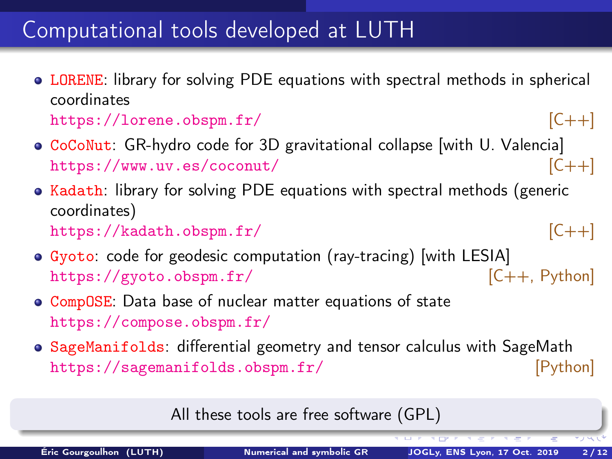### Computational tools developed at LUTH

- **LORENE:** library for solving PDE equations with spectral methods in spherical coordinates <https://lorene.obspm.fr/> [C++]
- CoCoNut: GR-hydro code for 3D gravitational collapse with U. Valencia <https://www.uv.es/coconut/> [C++]
- $\bullet$  Kadath: library for solving PDE equations with spectral methods (generic coordinates) <https://kadath.obspm.fr/> [C++]

- Gyoto: code for geodesic computation (ray-tracing) [with LESIA] <https://gyoto.obspm.fr/> [C++, Python]
- **CompOSE:** Data base of nuclear matter equations of state <https://compose.obspm.fr/>
- SageManifolds: differential geometry and tensor calculus with SageMath <https://sagemanifolds.obspm.fr/> [Python]

All these tools are free software (GPL)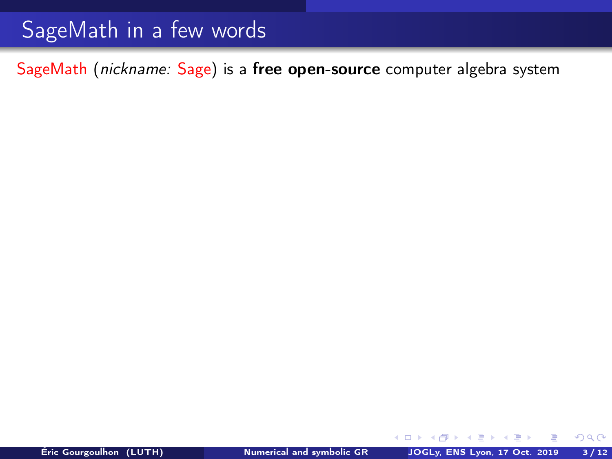SageMath (nickname: Sage) is a free open-source computer algebra system

4日 ト

÷

 $299$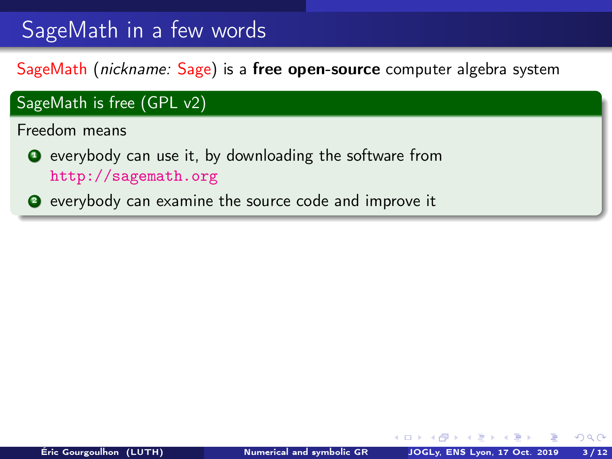SageMath (nickname: Sage) is a free open-source computer algebra system

### SageMath is free (GPL v2) Freedom means **O** everybody can use it, by downloading the software from <http://sagemath.org> <sup>2</sup> everybody can examine the source code and improve it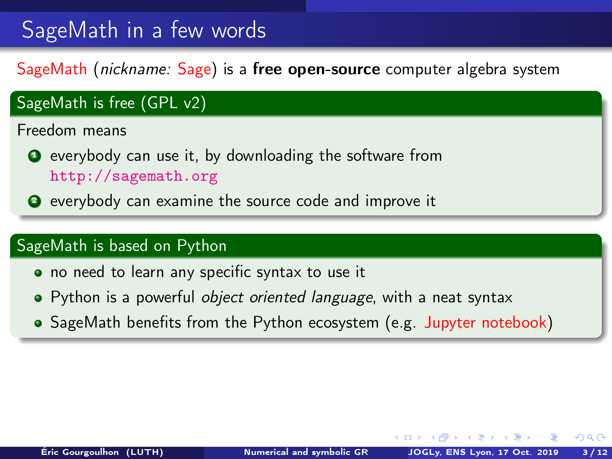SageMath (nickname: Sage) is a free open-source computer algebra system

### SageMath is free (GPL v2) Freedom means **O** everybody can use it, by downloading the software from <http://sagemath.org> <sup>2</sup> everybody can examine the source code and improve it

### SageMath is based on Python

- no need to learn any specific syntax to use it
- Python is a powerful object oriented language, with a neat syntax
- SageMath benefits from the Python ecosystem (e.g. Jupyter notebook)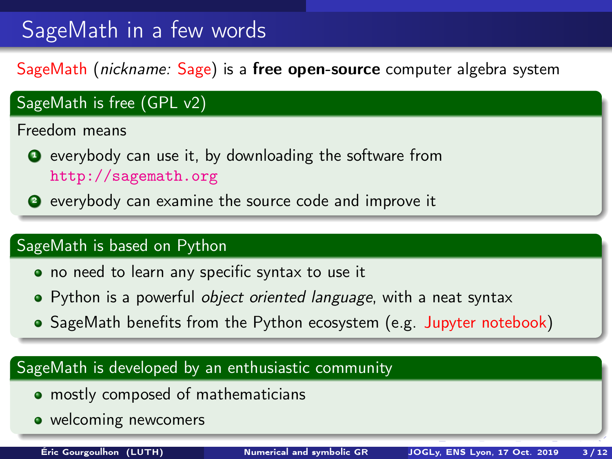SageMath (nickname: Sage) is a free open-source computer algebra system

### SageMath is free (GPL v2) Freedom means **O** everybody can use it, by downloading the software from <http://sagemath.org> <sup>2</sup> everybody can examine the source code and improve it

### SageMath is based on Python

- no need to learn any specific syntax to use it
- Python is a powerful object oriented language, with a neat syntax
- SageMath benefits from the Python ecosystem (e.g. Jupyter notebook)

### SageMath is developed by an enthusiastic community

- **mostly composed of mathematicians**
- welcoming newcomers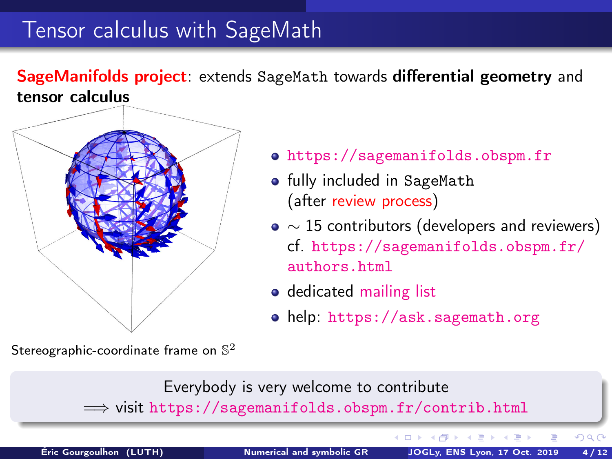### Tensor calculus with SageMath

SageManifolds project: extends SageMath towards differential geometry and tensor calculus



Stereographic-coordinate frame on  $\mathbb{S}^2$ 

- <https://sagemanifolds.obspm.fr>
- **•** fully included in SageMath (after review process)
- $\bullet \sim 15$  contributors (developers and reviewers) cf. [https://sagemanifolds.obspm.fr/](https://sagemanifolds.obspm.fr/authors.html) [authors.html](https://sagemanifolds.obspm.fr/authors.html)
- o dedicated [mailing list](http://sagemanifolds.obspm.fr/contact.html)
- help: <https://ask.sagemath.org>



Éric Gourgoulhon (LUTH) [Numerical and symbolic GR](#page-0-0) JOGLy, ENS Lyon, 17 Oct. 2019 4 / 12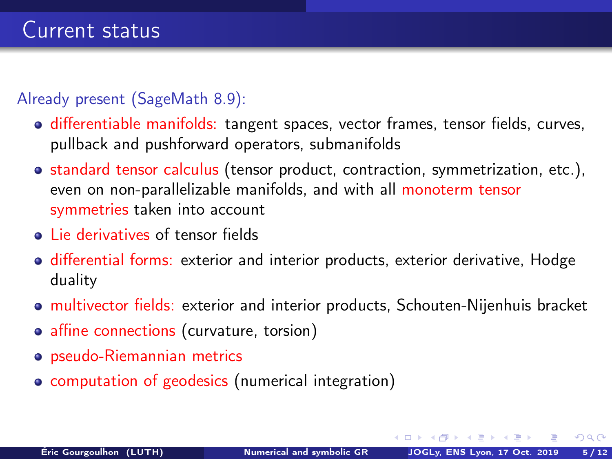#### Already present (SageMath 8.9):

- **o** differentiable manifolds: tangent spaces, vector frames, tensor fields, curves, pullback and pushforward operators, submanifolds
- standard tensor calculus (tensor product, contraction, symmetrization, etc.), even on non-parallelizable manifolds, and with all monoterm tensor symmetries taken into account
- **.** Lie derivatives of tensor fields
- **o** differential forms: exterior and interior products, exterior derivative, Hodge duality
- multivector fields: exterior and interior products, Schouten-Nijenhuis bracket
- affine connections (curvature, torsion)
- pseudo-Riemannian metrics
- computation of geodesics (numerical integration)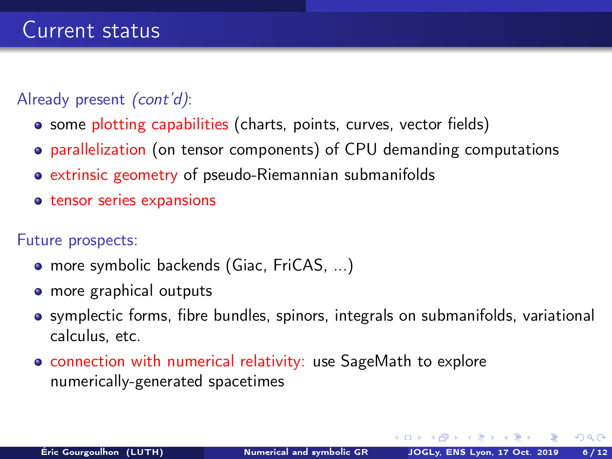### Already present *(cont'd)*:

- some plotting capabilities (charts, points, curves, vector fields)
- parallelization (on tensor components) of CPU demanding computations
- extrinsic geometry of pseudo-Riemannian submanifolds
- **•** tensor series expansions

#### Future prospects:

- more symbolic backends (Giac, FriCAS, ...)
- more graphical outputs
- symplectic forms, fibre bundles, spinors, integrals on submanifolds, variational calculus, etc.
- **connection with numerical relativity: use SageMath to explore** numerically-generated spacetimes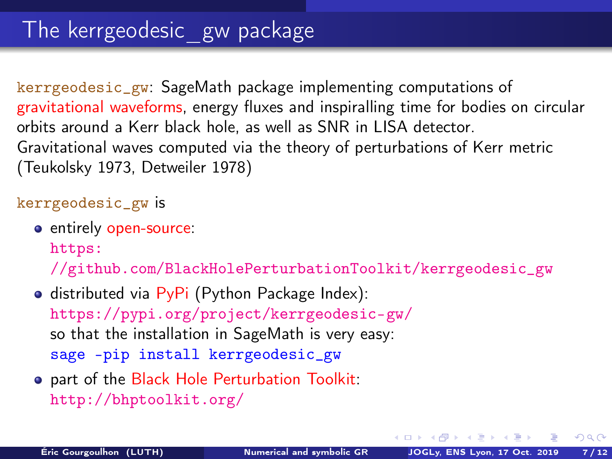kerrgeodesic\_gw: SageMath package implementing computations of gravitational waveforms, energy fluxes and inspiralling time for bodies on circular orbits around a Kerr black hole, as well as SNR in LISA detector. Gravitational waves computed via the theory of perturbations of Kerr metric (Teukolsky 1973, Detweiler 1978)

#### kerrgeodesic\_gw is

**e** entirely open-source:

[https:](https://github.com/BlackHolePerturbationToolkit/kerrgeodesic_gw)

[//github.com/BlackHolePerturbationToolkit/kerrgeodesic\\_gw](https://github.com/BlackHolePerturbationToolkit/kerrgeodesic_gw)

- $\bullet$  distributed via PyPi (Python Package Index): <https://pypi.org/project/kerrgeodesic-gw/> so that the installation in SageMath is very easy: sage -pip install kerrgeodesic\_gw
- o part of the Black Hole Perturbation Toolkit: <http://bhptoolkit.org/>

メロメ オ何 トメ ミト メミト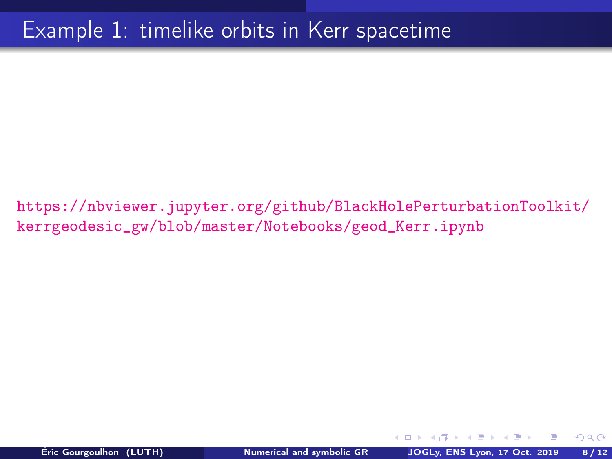### Example 1: timelike orbits in Kerr spacetime

[https://nbviewer.jupyter.org/github/BlackHolePerturbationToolkit/](https://nbviewer.jupyter.org/github/BlackHolePerturbationToolkit/kerrgeodesic_gw/blob/master/Notebooks/geod_Kerr.ipynb) [kerrgeodesic\\_gw/blob/master/Notebooks/geod\\_Kerr.ipynb](https://nbviewer.jupyter.org/github/BlackHolePerturbationToolkit/kerrgeodesic_gw/blob/master/Notebooks/geod_Kerr.ipynb)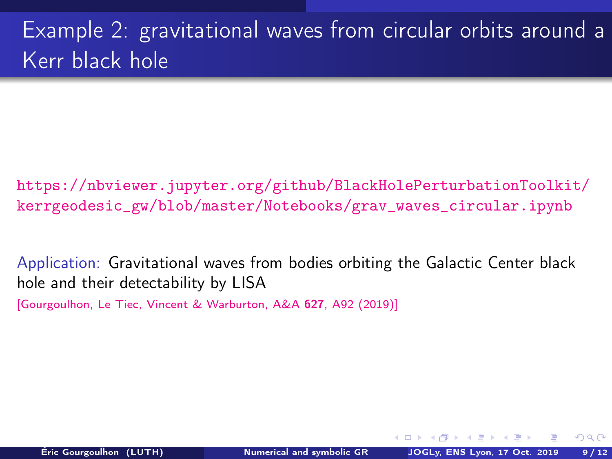# Example 2: gravitational waves from circular orbits around a Kerr black hole

[https://nbviewer.jupyter.org/github/BlackHolePerturbationToolkit/](https://nbviewer.jupyter.org/github/BlackHolePerturbationToolkit/kerrgeodesic_gw/blob/master/Notebooks/grav_waves_circular.ipynb) [kerrgeodesic\\_gw/blob/master/Notebooks/grav\\_waves\\_circular.ipynb](https://nbviewer.jupyter.org/github/BlackHolePerturbationToolkit/kerrgeodesic_gw/blob/master/Notebooks/grav_waves_circular.ipynb)

Application: Gravitational waves from bodies orbiting the Galactic Center black hole and their detectability by LISA

[\[Gourgoulhon, Le Tiec, Vincent & Warburton, A&A](https://doi.org/10.1051/0004-6361/201935406) 627, A92 (2019)]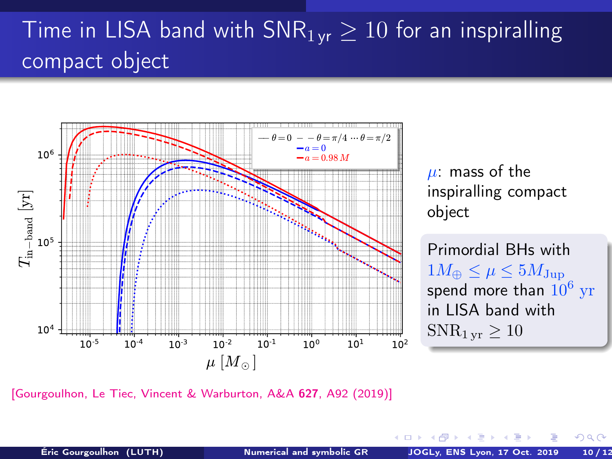# Time in LISA band with  $SNR_{1 \text{vr}} \geq 10$  for an inspiralling compact object



[\[Gourgoulhon, Le Tiec, Vincent & Warburton, A&A](https://doi.org/10.1051/0004-6361/201935406) 627, A92 (2019)]

 $\leftarrow$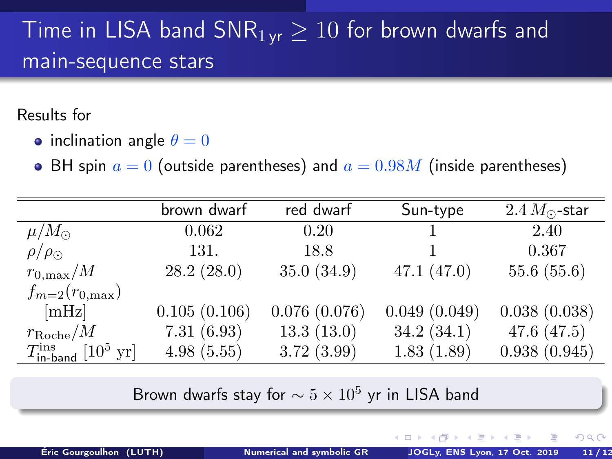# Time in LISA band  $\overline{SNR}_{1\text{ yr}} \geq 10$  for brown dwarfs and main-sequence stars

#### Results for

- inclination angle  $\theta = 0$
- BH spin  $a = 0$  (outside parentheses) and  $a = 0.98M$  (inside parentheses)

|                                                        | brown dwarf  | red dwarf    | Sun-type     | $2.4 M_{\odot}$ -star |
|--------------------------------------------------------|--------------|--------------|--------------|-----------------------|
| $\mu/M_{\odot}$                                        | 0.062        | 0.20         |              | 2.40                  |
| $\rho/\rho_{\odot}$                                    | 131.         | 18.8         |              | 0.367                 |
| $r_{0,\text{max}}/M$                                   | 28.2(28.0)   | 35.0(34.9)   | 47.1(47.0)   | 55.6(55.6)            |
| $f_{m=2}(r_{0,\text{max}})$                            |              |              |              |                       |
| [mHz]                                                  | 0.105(0.106) | 0.076(0.076) | 0.049(0.049) | 0.038(0.038)          |
| $r_{\rm Roche}/M$                                      | 7.31(6.93)   | 13.3(13.0)   | 34.2(34.1)   | 47.6 $(47.5)$         |
| $T_{\text{in-band}}^{\text{ins}}$ [10 <sup>5</sup> yr] | 4.98(5.55)   | 3.72(3.99)   | 1.83(1.89)   | 0.938(0.945)          |

Brown dwarfs stay for  $\sim 5 \times 10^5$  yr in LISA band

 $QQ$